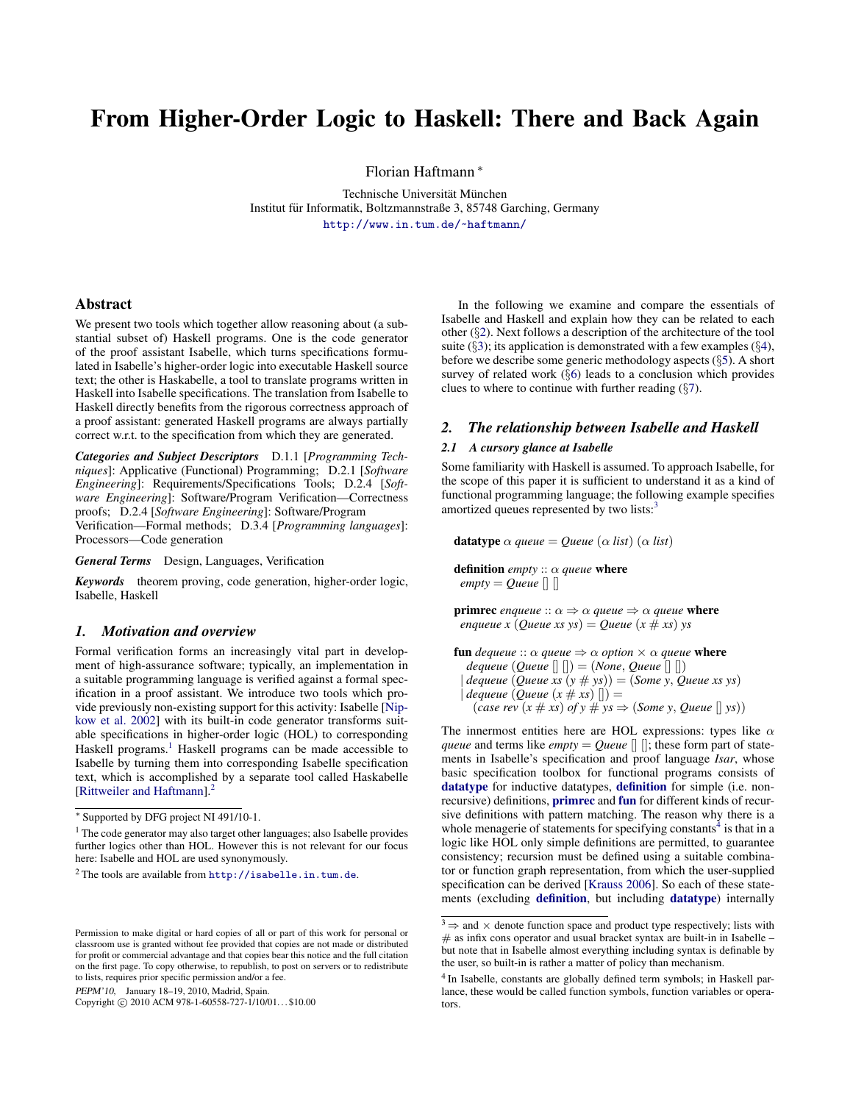# From Higher-Order Logic to Haskell: There and Back Again

Florian Haftmann <sup>∗</sup>

Technische Universität München Institut für Informatik, Boltzmannstraße 3, 85748 Garching, Germany <http://www.in.tum.de/~haftmann/>

## Abstract

We present two tools which together allow reasoning about (a substantial subset of) Haskell programs. One is the code generator of the proof assistant Isabelle, which turns specifications formulated in Isabelle's higher-order logic into executable Haskell source text; the other is Haskabelle, a tool to translate programs written in Haskell into Isabelle specifications. The translation from Isabelle to Haskell directly benefits from the rigorous correctness approach of a proof assistant: generated Haskell programs are always partially correct w.r.t. to the specification from which they are generated.

*Categories and Subject Descriptors* D.1.1 [*Programming Techniques*]: Applicative (Functional) Programming; D.2.1 [*Software Engineering*]: Requirements/Specifications Tools; D.2.4 [*Software Engineering*]: Software/Program Verification—Correctness proofs; D.2.4 [*Software Engineering*]: Software/Program Verification—Formal methods; D.3.4 [*Programming languages*]:

Processors—Code generation

*General Terms* Design, Languages, Verification

*Keywords* theorem proving, code generation, higher-order logic, Isabelle, Haskell

# *1. Motivation and overview*

Formal verification forms an increasingly vital part in development of high-assurance software; typically, an implementation in a suitable programming language is verified against a formal specification in a proof assistant. We introduce two tools which provide previously non-existing support for this activity: Isabelle [\[Nip](#page-3-0)[kow et al.](#page-3-0) [2002\]](#page-3-0) with its built-in code generator transforms suitable specifications in higher-order logic (HOL) to corresponding Haskell programs.<sup>[1](#page-0-0)</sup> Haskell programs can be made accessible to Isabelle by turning them into corresponding Isabelle specification text, which is accomplished by a separate tool called Haskabelle [\[Rittweiler and Haftmann\]](#page-3-1).<sup>[2](#page-0-1)</sup>

PEPM'10, January 18–19, 2010, Madrid, Spain.

Copyright © 2010 ACM 978-1-60558-727-1/10/01... \$10.00

In the following we examine and compare the essentials of Isabelle and Haskell and explain how they can be related to each other (§[2\)](#page-0-2). Next follows a description of the architecture of the tool suite ( $\S$ [3\)](#page-1-0); its application is demonstrated with a few examples ( $\S$ [4\)](#page-1-1), before we describe some generic methodology aspects (§[5\)](#page-3-2). A short survey of related work (§[6\)](#page-3-3) leads to a conclusion which provides clues to where to continue with further reading (§[7\)](#page-3-4).

# <span id="page-0-2"></span>*2. The relationship between Isabelle and Haskell*

## <span id="page-0-9"></span>*2.1 A cursory glance at Isabelle*

Some familiarity with Haskell is assumed. To approach Isabelle, for the scope of this paper it is sufficient to understand it as a kind of functional programming language; the following example specifies amortized queues represented by two lists:<sup>[3](#page-0-3)</sup>

**datatype**  $\alpha$  *queue* = *Queue* ( $\alpha$  *list*) ( $\alpha$  *list*)

definition *empty* :: α *queue* where *empty* = *Queue*  $\parallel \parallel$ 

**primrec** *enqueue* ::  $\alpha \Rightarrow \alpha$  *queue*  $\Rightarrow \alpha$  *queue* where *enqueue*  $x$  (*Queue*  $xs$   $ys$ ) = *Queue* ( $x \neq xs$ )  $ys$ 

**fun** *dequeue* ::  $\alpha$  *queue*  $\Rightarrow$   $\alpha$  *option*  $\times$   $\alpha$  *queue* where *dequeue* (*Queue* [] []) = (*None*, *Queue* [] [])  $dequeue (Queue xs (y # ys)) = (Some y, Queue xs ys))$  $\text{dequeue} \left(Qu \text{e} u e \left(x \# x s\right) \right| =$ (*case rev*  $(x \# xs)$  *of y*  $\# ys \Rightarrow$  (*Some y, Queue* [] *ys*))

<span id="page-0-7"></span><span id="page-0-6"></span><span id="page-0-5"></span><span id="page-0-4"></span>The innermost entities here are HOL expressions: types like  $\alpha$ *queue* and terms like *empty* = *Queue*  $\parallel \parallel$ ; these form part of statements in Isabelle's specification and proof language *Isar*, whose basic specification toolbox for functional programs consists of [datatype](#page-0-4) for inductive datatypes, [definition](#page-0-5) for simple (i.e. nonrecursive) definitions, **[primrec](#page-0-6)** and **[fun](#page-0-7)** for different kinds of recursive definitions with pattern matching. The reason why there is a whole menagerie of statements for specifying constants<sup> $\frac{1}{4}$  $\frac{1}{4}$  $\frac{1}{4}$ </sup> is that in a logic like HOL only simple definitions are permitted, to guarantee consistency; recursion must be defined using a suitable combinator or function graph representation, from which the user-supplied specification can be derived [\[Krauss](#page-3-5) [2006\]](#page-3-5). So each of these statements (excluding [definition](#page-0-5), but including [datatype](#page-0-4)) internally

<sup>∗</sup> Supported by DFG project NI 491/10-1.

<span id="page-0-0"></span> $^{\rm 1}$  The code generator may also target other languages; also Isabelle provides further logics other than HOL. However this is not relevant for our focus here: Isabelle and HOL are used synonymously.

<span id="page-0-1"></span><sup>&</sup>lt;sup>2</sup>The tools are available from <http://isabelle.in.tum.de>.

Permission to make digital or hard copies of all or part of this work for personal or classroom use is granted without fee provided that copies are not made or distributed for profit or commercial advantage and that copies bear this notice and the full citation on the first page. To copy otherwise, to republish, to post on servers or to redistribute to lists, requires prior specific permission and/or a fee.

<span id="page-0-3"></span> $3 \Rightarrow$  and  $\times$  denote function space and product type respectively; lists with  $#$  as infix cons operator and usual bracket syntax are built-in in Isabelle – but note that in Isabelle almost everything including syntax is definable by the user, so built-in is rather a matter of policy than mechanism.

<span id="page-0-8"></span><sup>&</sup>lt;sup>4</sup> In Isabelle, constants are globally defined term symbols; in Haskell parlance, these would be called function symbols, function variables or operators.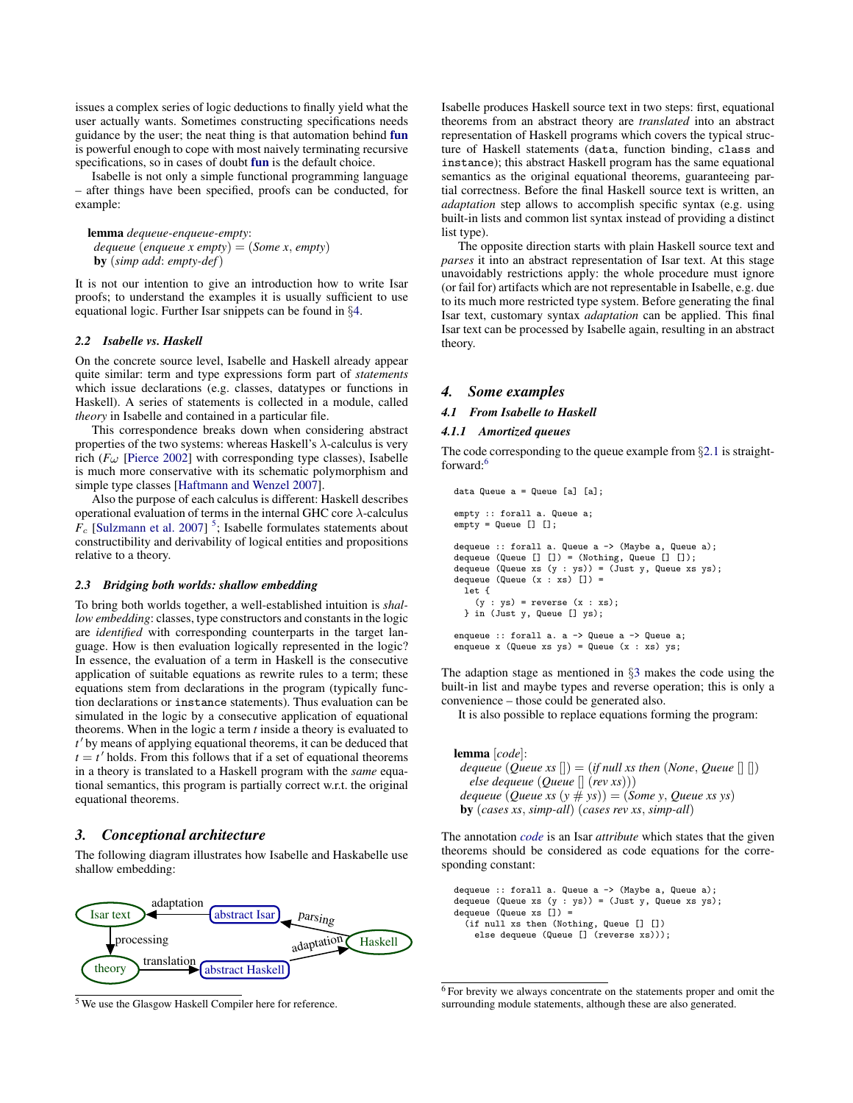issues a complex series of logic deductions to finally yield what the user actually wants. Sometimes constructing specifications needs guidance by the user; the neat thing is that automation behind [fun](#page-0-7) is powerful enough to cope with most naively terminating recursive specifications, so in cases of doubt [fun](#page-0-7) is the default choice.

Isabelle is not only a simple functional programming language – after things have been specified, proofs can be conducted, for example:

lemma *dequeue-enqueue-empty*: *dequeue* (*enqueue x empty*) = (*Some x*, *empty*) by (*simp add*: *empty-def*)

It is not our intention to give an introduction how to write Isar proofs; to understand the examples it is usually sufficient to use equational logic. Further Isar snippets can be found in §[4.](#page-1-1)

## *2.2 Isabelle vs. Haskell*

On the concrete source level, Isabelle and Haskell already appear quite similar: term and type expressions form part of *statements* which issue declarations (e.g. classes, datatypes or functions in Haskell). A series of statements is collected in a module, called *theory* in Isabelle and contained in a particular file.

This correspondence breaks down when considering abstract properties of the two systems: whereas Haskell's  $\lambda$ -calculus is very rich ( $F_{\omega}$  [\[Pierce](#page-3-6) [2002\]](#page-3-6) with corresponding type classes), Isabelle is much more conservative with its schematic polymorphism and simple type classes [\[Haftmann and Wenzel](#page-3-7) [2007\]](#page-3-7).

Also the purpose of each calculus is different: Haskell describes operational evaluation of terms in the internal GHC core  $\lambda$ -calculus  $\bar{F}_c$  [\[Sulzmann et al.](#page-3-8) [2007\]](#page-3-8)<sup>[5](#page-1-2)</sup>; Isabelle formulates statements about constructibility and derivability of logical entities and propositions relative to a theory.

#### *2.3 Bridging both worlds: shallow embedding*

To bring both worlds together, a well-established intuition is *shallow embedding*: classes, type constructors and constants in the logic are *identified* with corresponding counterparts in the target language. How is then evaluation logically represented in the logic? In essence, the evaluation of a term in Haskell is the consecutive application of suitable equations as rewrite rules to a term; these equations stem from declarations in the program (typically function declarations or instance statements). Thus evaluation can be simulated in the logic by a consecutive application of equational theorems. When in the logic a term *t* inside a theory is evaluated to t' by means of applying equational theorems, it can be deduced that  $t = t'$  holds. From this follows that if a set of equational theorems in a theory is translated to a Haskell program with the *same* equational semantics, this program is partially correct w.r.t. the original equational theorems.

## <span id="page-1-0"></span>*3. Conceptional architecture*

The following diagram illustrates how Isabelle and Haskabelle use shallow embedding:



<span id="page-1-2"></span><sup>5</sup> We use the Glasgow Haskell Compiler here for reference.

Isabelle produces Haskell source text in two steps: first, equational theorems from an abstract theory are *translated* into an abstract representation of Haskell programs which covers the typical structure of Haskell statements (data, function binding, class and instance); this abstract Haskell program has the same equational semantics as the original equational theorems, guaranteeing partial correctness. Before the final Haskell source text is written, an *adaptation* step allows to accomplish specific syntax (e.g. using built-in lists and common list syntax instead of providing a distinct list type).

The opposite direction starts with plain Haskell source text and *parses* it into an abstract representation of Isar text. At this stage unavoidably restrictions apply: the whole procedure must ignore (or fail for) artifacts which are not representable in Isabelle, e.g. due to its much more restricted type system. Before generating the final Isar text, customary syntax *adaptation* can be applied. This final Isar text can be processed by Isabelle again, resulting in an abstract theory.

#### <span id="page-1-1"></span>*4. Some examples*

*4.1 From Isabelle to Haskell*

#### *4.1.1 Amortized queues*

The code corresponding to the queue example from §[2.1](#page-0-9) is straight-forward:<sup>[6](#page-1-3)</sup>

```
data Queue a = Queue [a] [a];
empty :: forall a. Queue a;
empty = Queue [] [];
dequeue :: forall a. Queue a -> (Maybe a, Queue a);
dequeue (Queue [] []) = (Nothing, Queue [] []);
dequeue (Queue xs (y : ys)) = (Just y, Queue xs ys);
dequeue (Queue (x : xs) []) =
 let {
    (y : ys) = reverse (x : xs);} in (Just y, Queue [] ys);
enqueue :: forall a. a -> Queue a -> Queue a;
```
The adaption stage as mentioned in §[3](#page-1-0) makes the code using the

enqueue x (Queue xs ys) = Queue (x : xs) ys;

built-in list and maybe types and reverse operation; this is only a convenience – those could be generated also.

It is also possible to replace equations forming the program:

lemma [*code*]: *dequeue* (*Queue xs*  $[]$ ) = (*if null xs then* (*None*, *Queue*  $[]$   $[]$ ) *else dequeue* (*Queue* [] (*rev xs*))) *dequeue* (*Queue xs*  $(y \# ys)$ ) = (*Some y, Queue xs ys*) by (*cases xs*, *simp-all*) (*cases rev xs*, *simp-all*)

<span id="page-1-4"></span>The annotation *[code](#page-1-4)* is an Isar *attribute* which states that the given theorems should be considered as code equations for the corresponding constant:

```
dequeue :: forall a. Queue a -> (Maybe a, Queue a);
dequeue (Queue xs (y : ys)) = (Just y, Queue xs ys);
dequeue (Queue xs []) =
  (if null xs then (Nothing, Queue [] [])
    else dequeue (Queue [] (reverse xs)));
```
<span id="page-1-3"></span><sup>6</sup> For brevity we always concentrate on the statements proper and omit the surrounding module statements, although these are also generated.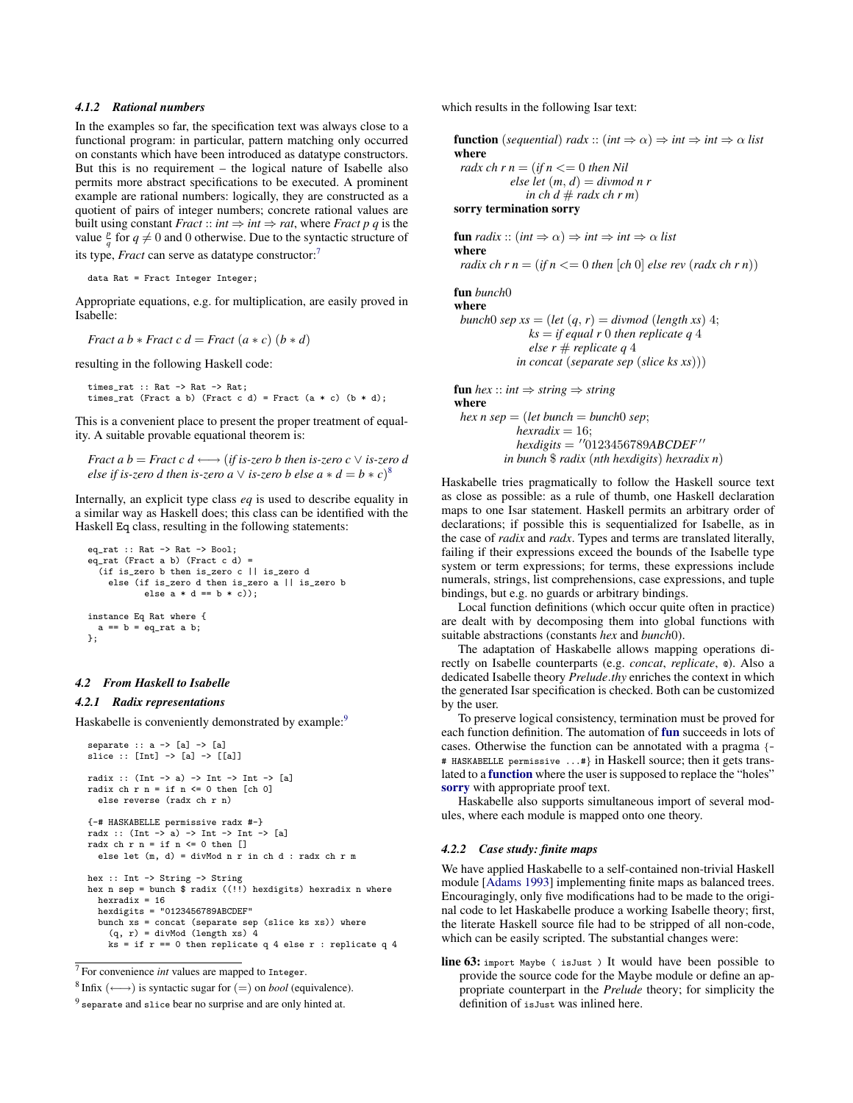## *4.1.2 Rational numbers*

In the examples so far, the specification text was always close to a functional program: in particular, pattern matching only occurred on constants which have been introduced as datatype constructors. But this is no requirement – the logical nature of Isabelle also permits more abstract specifications to be executed. A prominent example are rational numbers: logically, they are constructed as a quotient of pairs of integer numbers; concrete rational values are built using constant *Fract* :: *int*  $\Rightarrow$  *int*  $\Rightarrow$  *rat*, where *Fract* p q is the value  $\frac{p}{q}$  for  $q \neq 0$  and 0 otherwise. Due to the syntactic structure of its type, *Fract* can serve as datatype constructor:<sup>[7](#page-2-0)</sup>

data Rat = Fract Integer Integer;

Appropriate equations, e.g. for multiplication, are easily proved in Isabelle:

*Fract a b*  $*$  *Fract c d* = *Fract* (*a*  $*$  *c*) (*b*  $*$  *d*)

resulting in the following Haskell code:

times rat  $::$  Rat  $\rightarrow$  Rat  $\rightarrow$  Rat; times\_rat (Fract a b) (Fract c d) = Fract  $(a * c)$   $(b * d)$ ;

This is a convenient place to present the proper treatment of equality. A suitable provable equational theorem is:

*Fract a b* = *Fract c d*  $\longleftrightarrow$  (*if is-zero b then is-zero c*  $\lor$  *is-zero d else if is-zero d then is-zero a*  $\lor$  *is-zero b else a*  $*$  *d = b*  $*$  *c*)<sup>[8](#page-2-1)</sup>

Internally, an explicit type class *eq* is used to describe equality in a similar way as Haskell does; this class can be identified with the Haskell Eq class, resulting in the following statements:

```
eq_rat :: Rat -> Rat -> Bool;
eq_rat (Fract a b) (Fract c d) =
  (if is_zero b then is_zero c || is_zero d
    else (if is_zero d then is_zero a || is_zero b
           else a * d == b * c);
instance Eq Rat where {
  a == b = eq_rrat a b;
};
```
## *4.2 From Haskell to Isabelle*

#### *4.2.1 Radix representations*

Haskabelle is conveniently demonstrated by example:<sup>[9](#page-2-2)</sup>

```
separate :: a -> [a] -> [a]
slice :: [Int] -> [a] -> [[a]]
radix :: (int \rightarrow a) \rightarrow Int \rightarrow Int \rightarrow [a]radix ch r n = if n \leq 0 then [ch 0]
  else reverse (radx ch r n)
{-# HASKABELLE permissive radx #-}
radx :: (int \rightarrow a) \rightarrow Int \rightarrow Int \rightarrow [a]radx ch r n = if n \le 0 then []else let (m, d) = divMod n r in ch d : radx ch r m
hex :: Int -> String -> String
hex n sep = bunch \frac{2}{3} radix ((!!) hexdigits) hexradix n where
  hexradix = 16hexdigits = "0123456789ABCDEF"
  bunch xs = concat (separate sep (slice ks xs)) where
     (q, r) = \text{divMod} (length xs) 4
    ks = if r = 0 then replicate q 4 else r : replicate q 4
```
<span id="page-2-0"></span><sup>7</sup> For convenience *int* values are mapped to Integer.

which results in the following Isar text:

**function** (*sequential*) *radx* :: (*int*  $\Rightarrow \alpha$ )  $\Rightarrow$  *int*  $\Rightarrow$  *int*  $\Rightarrow \alpha$  *list* where

*radx ch r n* = (*if n*  $<= 0$  *then Nil else let*  $(m, d) = \text{divmod } n r$ *in ch d*  $#$  *radx ch r m*)

sorry termination sorry

**fun** 
$$
radix :: (int \Rightarrow \alpha) \Rightarrow int \Rightarrow int \Rightarrow \alpha
$$
 *list*  
**where**  
 $radix \, ch \, rn = (if \, n < -0, then \, [ch \, 0], \, else \, rev \, (radx \, ch \, rn))$ 

*radix ch r n*  $=$  (*if n*  $\lt$   $=$  0 *then*  $|ch 0|$  *else rev* (*radx ch r n*))

fun *bunch*0

where

*bunch*<sup>0</sup> *sep xs* = (*let*  $(q, r)$  = *divmod* (*length xs*) 4;  $ks = if equal r 0 then replicate q 4$ *else*  $r \neq$  *replicate*  $q \downarrow 4$ *in concat* (*separate sep* (*slice ks xs*)))

fun *hex* :: *int* ⇒ *string* ⇒ *string* where  $hex n sep = (let bunch = bunch0 sep;$  $hexradir = 16;$ *hexdigits* =  $\frac{1}{0}$ 123456789ABCDEF<sup>11</sup> *in bunch* \$ *radix* (*nth hexdigits*) *hexradix n*)

Haskabelle tries pragmatically to follow the Haskell source text as close as possible: as a rule of thumb, one Haskell declaration maps to one Isar statement. Haskell permits an arbitrary order of declarations; if possible this is sequentialized for Isabelle, as in the case of *radix* and *radx*. Types and terms are translated literally, failing if their expressions exceed the bounds of the Isabelle type system or term expressions; for terms, these expressions include numerals, strings, list comprehensions, case expressions, and tuple bindings, but e.g. no guards or arbitrary bindings.

Local function definitions (which occur quite often in practice) are dealt with by decomposing them into global functions with suitable abstractions (constants *hex* and *bunch*0).

The adaptation of Haskabelle allows mapping operations directly on Isabelle counterparts (e.g. *concat*, *replicate*, @). Also a dedicated Isabelle theory *Prelude*.*thy* enriches the context in which the generated Isar specification is checked. Both can be customized by the user.

To preserve logical consistency, termination must be proved for each [fun](#page-0-7)ction definition. The automation of **fun** succeeds in lots of cases. Otherwise the function can be annotated with a pragma {- # HASKABELLE permissive ...#} in Haskell source; then it gets translated to a [function](#page-2-3) where the user is supposed to replace the "holes" [sorry](#page-2-4) with appropriate proof text.

<span id="page-2-4"></span><span id="page-2-3"></span>Haskabelle also supports simultaneous import of several modules, where each module is mapped onto one theory.

### *4.2.2 Case study: finite maps*

We have applied Haskabelle to a self-contained non-trivial Haskell module [\[Adams](#page-3-9) [1993\]](#page-3-9) implementing finite maps as balanced trees. Encouragingly, only five modifications had to be made to the original code to let Haskabelle produce a working Isabelle theory; first, the literate Haskell source file had to be stripped of all non-code, which can be easily scripted. The substantial changes were:

line 63: import Maybe ( isJust ) It would have been possible to provide the source code for the Maybe module or define an appropriate counterpart in the *Prelude* theory; for simplicity the definition of isJust was inlined here.

<span id="page-2-1"></span> $8 \text{ Infix } (\longleftrightarrow)$  is syntactic sugar for  $(=)$  on *bool* (equivalence).

<span id="page-2-2"></span><sup>&</sup>lt;sup>9</sup> separate and slice bear no surprise and are only hinted at.